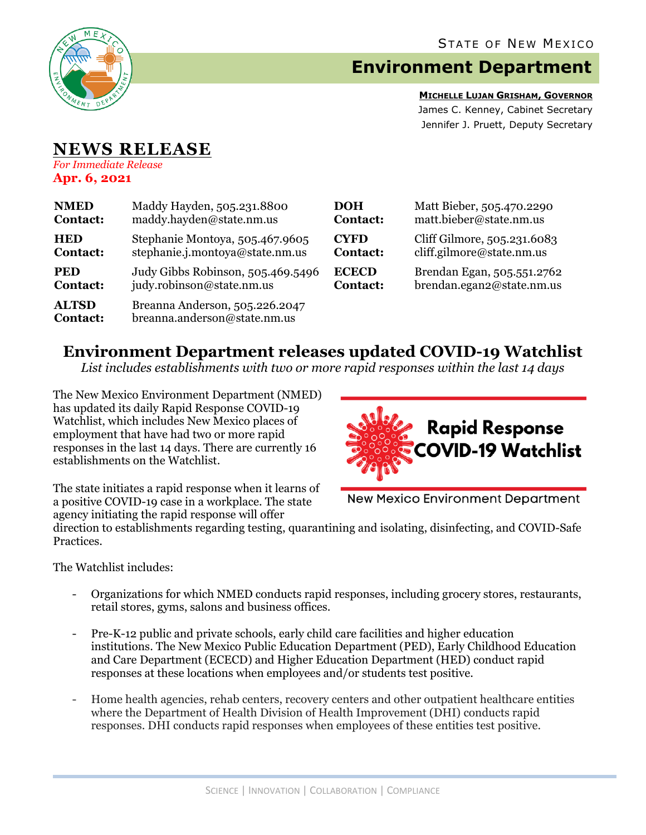

## **Environment Department**

**MICHELLE LUJAN GRISHAM, GOVERNOR** James C. Kenney, Cabinet Secretary Jennifer J. Pruett, Deputy Secretary

## **NEWS RELEASE** *For Immediate Release*

**Apr. 6, 2021**

| <b>NMED</b>                     | Maddy Hayden, 505.231.8800                                     | <b>DOH</b>      | Matt Bieber, 505.470.2290   |
|---------------------------------|----------------------------------------------------------------|-----------------|-----------------------------|
| <b>Contact:</b>                 | maddy.hayden@state.nm.us                                       | <b>Contact:</b> | matt.bieber@state.nm.us     |
| <b>HED</b>                      | Stephanie Montoya, 505.467.9605                                | <b>CYFD</b>     | Cliff Gilmore, 505.231.6083 |
| <b>Contact:</b>                 | stephanie.j.montoya@state.nm.us                                | <b>Contact:</b> | cliff.gilmore@state.nm.us   |
| <b>PED</b>                      | Judy Gibbs Robinson, 505.469.5496                              | <b>ECECD</b>    | Brendan Egan, 505.551.2762  |
| <b>Contact:</b>                 | judy.robinson@state.nm.us                                      | <b>Contact:</b> | brendan.egan2@state.nm.us   |
| <b>ALTSD</b><br><b>Contact:</b> | Breanna Anderson, 505.226.2047<br>breanna.anderson@state.nm.us |                 |                             |

## **Environment Department releases updated COVID-19 Watchlist**

*List includes establishments with two or more rapid responses within the last 14 days*

The New Mexico Environment Department (NMED) has updated its daily Rapid Response COVID-19 Watchlist, which includes New Mexico places of employment that have had two or more rapid responses in the last 14 days. There are currently 16 establishments on the Watchlist.



The state initiates a rapid response when it learns of a positive COVID-19 case in a workplace. The state agency initiating the rapid response will offer

**New Mexico Environment Department** 

direction to establishments regarding testing, quarantining and isolating, disinfecting, and COVID-Safe Practices.

The Watchlist includes:

- Organizations for which NMED conducts rapid responses, including grocery stores, restaurants, retail stores, gyms, salons and business offices.
- Pre-K-12 public and private schools, early child care facilities and higher education institutions. The New Mexico Public Education Department (PED), Early Childhood Education and Care Department (ECECD) and Higher Education Department (HED) conduct rapid responses at these locations when employees and/or students test positive.
- Home health agencies, rehab centers, recovery centers and other outpatient healthcare entities where the Department of Health Division of Health Improvement (DHI) conducts rapid responses. DHI conducts rapid responses when employees of these entities test positive.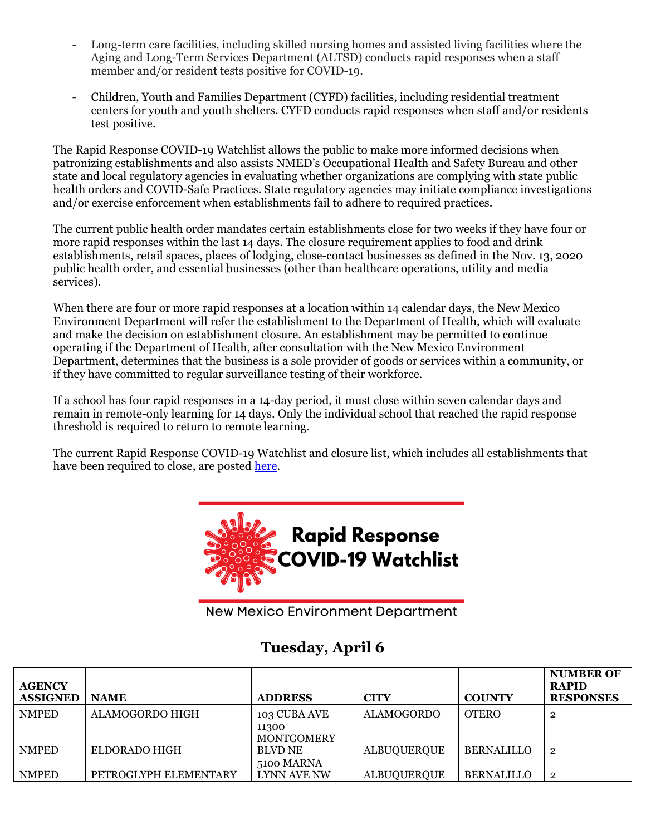- Long-term care facilities, including skilled nursing homes and assisted living facilities where the Aging and Long-Term Services Department (ALTSD) conducts rapid responses when a staff member and/or resident tests positive for COVID-19.
- Children, Youth and Families Department (CYFD) facilities, including residential treatment centers for youth and youth shelters. CYFD conducts rapid responses when staff and/or residents test positive.

The Rapid Response COVID-19 Watchlist allows the public to make more informed decisions when patronizing establishments and also assists NMED's Occupational Health and Safety Bureau and other state and local regulatory agencies in evaluating whether organizations are complying with state public health orders and COVID-Safe Practices. State regulatory agencies may initiate compliance investigations and/or exercise enforcement when establishments fail to adhere to required practices.

The current public health order mandates certain establishments close for two weeks if they have four or more rapid responses within the last 14 days. The closure requirement applies to food and drink establishments, retail spaces, places of lodging, close-contact businesses as defined in the Nov. 13, 2020 public health order, and essential businesses (other than healthcare operations, utility and media services).

When there are four or more rapid responses at a location within 14 calendar days, the New Mexico Environment Department will refer the establishment to the Department of Health, which will evaluate and make the decision on establishment closure. An establishment may be permitted to continue operating if the Department of Health, after consultation with the New Mexico Environment Department, determines that the business is a sole provider of goods or services within a community, or if they have committed to regular surveillance testing of their workforce.

If a school has four rapid responses in a 14-day period, it must close within seven calendar days and remain in remote-only learning for 14 days. Only the individual school that reached the rapid response threshold is required to return to remote learning.

The current Rapid Response COVID-19 Watchlist and closure list, which includes all establishments that have been required to close, are posted [here.](https://www.env.nm.gov/rapid-response-data/)



**New Mexico Environment Department** 

## **Tuesday, April 6**

| <b>AGENCY</b><br><b>ASSIGNED</b> | <b>NAME</b>           | <b>ADDRESS</b>                               | <b>CITY</b>        | <b>COUNTY</b>     | <b>NUMBER OF</b><br><b>RAPID</b><br><b>RESPONSES</b> |
|----------------------------------|-----------------------|----------------------------------------------|--------------------|-------------------|------------------------------------------------------|
| <b>NMPED</b>                     | ALAMOGORDO HIGH       | 103 CUBA AVE                                 | <b>ALAMOGORDO</b>  | <b>OTERO</b>      |                                                      |
| <b>NMPED</b>                     | ELDORADO HIGH         | 11300<br><b>MONTGOMERY</b><br><b>BLVD NE</b> | <b>ALBUQUERQUE</b> | <b>BERNALILLO</b> | $\overline{2}$                                       |
|                                  |                       |                                              |                    |                   |                                                      |
|                                  |                       | 5100 MARNA                                   |                    |                   |                                                      |
| <b>NMPED</b>                     | PETROGLYPH ELEMENTARY | LYNN AVE NW                                  | <b>ALBUQUERQUE</b> | <b>BERNALILLO</b> | $\overline{2}$                                       |